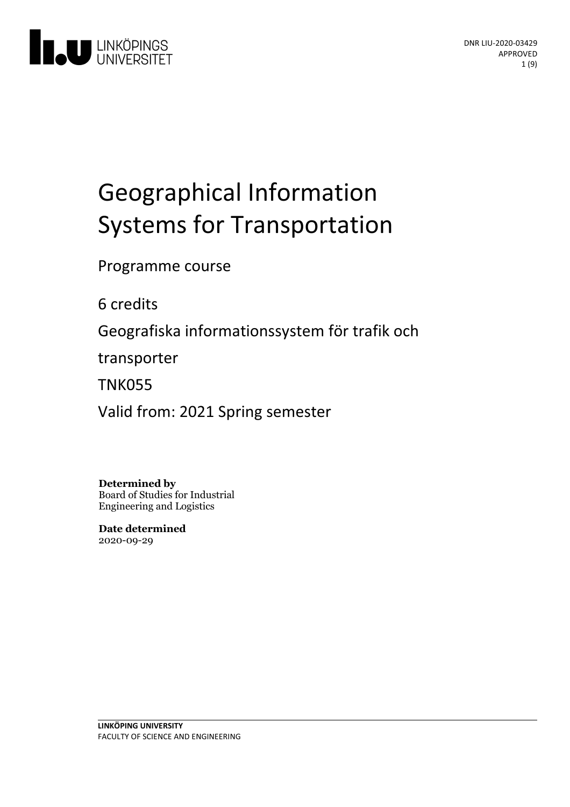

# Geographical Information Systems for Transportation

Programme course

6 credits

Geografiska informationssystem för trafik och

transporter

TNK055

Valid from: 2021 Spring semester

**Determined by** Board of Studies for Industrial Engineering and Logistics

**Date determined** 2020-09-29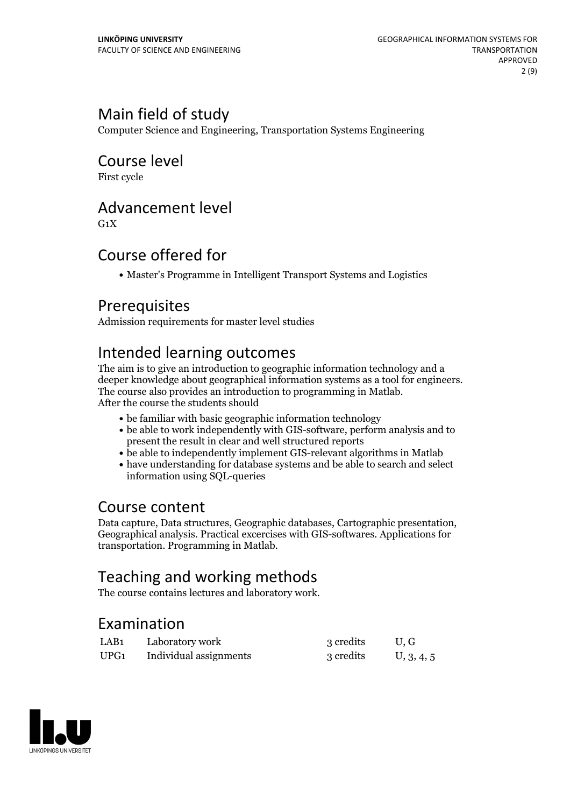## Main field of study

Computer Science and Engineering, Transportation Systems Engineering

Course level

First cycle

## Advancement level

 $G_1X$ 

## Course offered for

Master's Programme in Intelligent Transport Systems and Logistics

## Prerequisites

Admission requirements for master level studies

## Intended learning outcomes

The aim is to give an introduction to geographic information technology and a deeper knowledge about geographical information systems as <sup>a</sup> tool for engineers. The course also provides an introduction to programming in Matlab. After the course the students should

- be familiar with basic geographic information technology
- be able to work independently with GIS-software, perform analysis and to present the result in clear and well structured reports
- be able to independently implement GIS-relevant algorithms in Matlab
- have understanding for database systems and be able to search and select information using SQL-queries

## Course content

Data capture, Data structures, Geographic databases, Cartographic presentation, Geographical analysis. Practical excercises with GIS-softwares. Applications for transportation. Programming in Matlab.

## Teaching and working methods

The course contains lectures and laboratory work.

## Examination

| LAB <sub>1</sub> | Laboratory work        | 3 credits | U.G        |
|------------------|------------------------|-----------|------------|
| UPG <sub>1</sub> | Individual assignments | 3 credits | U, 3, 4, 5 |

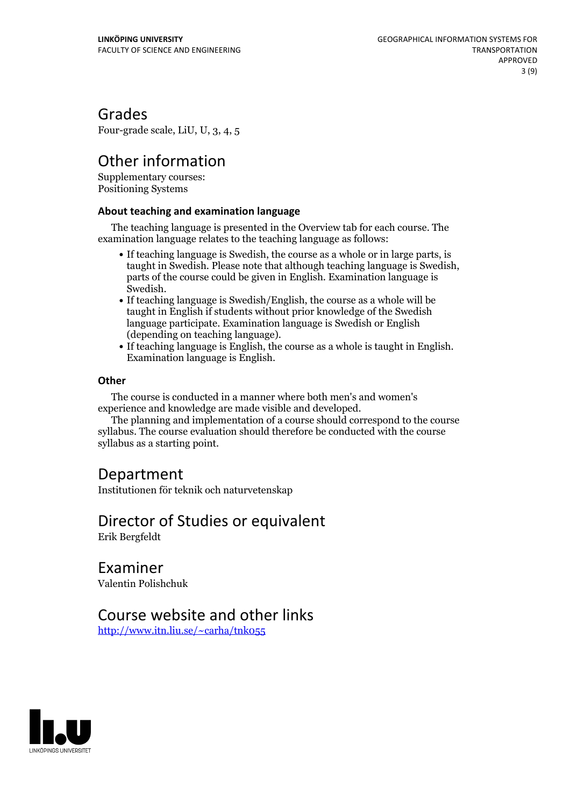## Grades

Four-grade scale, LiU, U, 3, 4, 5

## Other information

Supplementary courses: Positioning Systems

### **About teaching and examination language**

The teaching language is presented in the Overview tab for each course. The examination language relates to the teaching language as follows:

- If teaching language is Swedish, the course as a whole or in large parts, is taught in Swedish. Please note that although teaching language is Swedish, parts of the course could be given in English. Examination language is
- If teaching language is Swedish/English, the course as a whole will be taught in English if students without prior knowledge of the Swedish language participate. Examination language is Swedish or English
- (depending on teaching language).<br>• If teaching language is English, the course as a whole is taught in English.<br>Examination language is English.

### **Other**

The course is conducted in a manner where both men's and women's

The planning and implementation of a course should correspond to the course syllabus. The course evaluation should therefore be conducted with the course syllabus as a starting point.

## Department

Institutionen för teknik och naturvetenskap

### Director of Studies or equivalent Erik Bergfeldt

Examiner

Valentin Polishchuk

## Course website and other links

<http://www.itn.liu.se/~carha/tnk055>

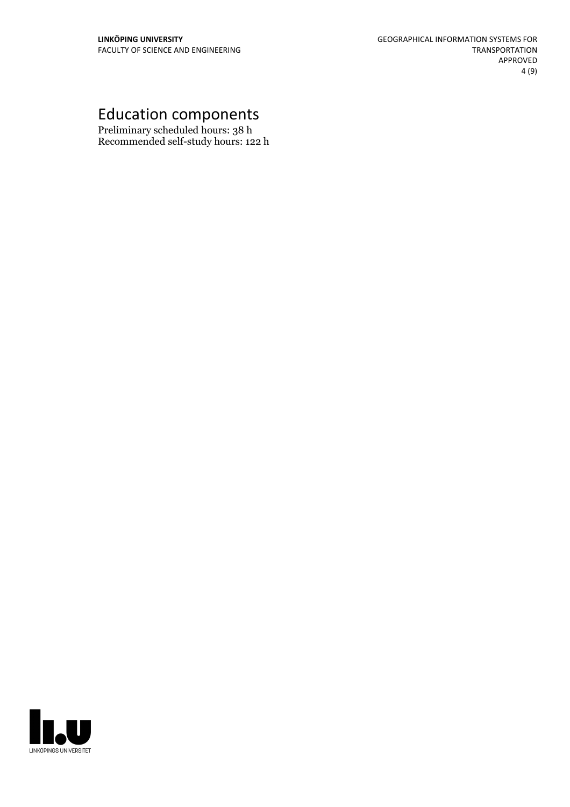## Education components

Preliminary scheduled hours: 38 h Recommended self-study hours: 122 h

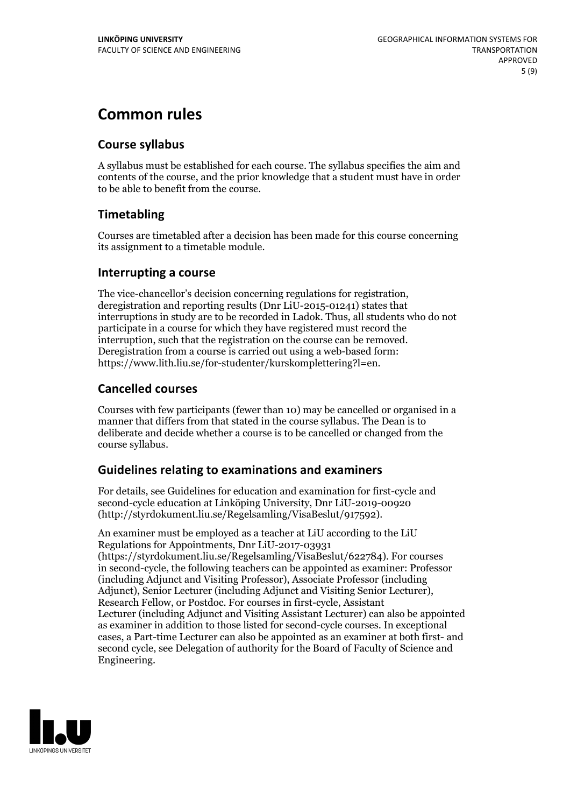## **Common rules**

### **Course syllabus**

A syllabus must be established for each course. The syllabus specifies the aim and contents of the course, and the prior knowledge that a student must have in order to be able to benefit from the course.

### **Timetabling**

Courses are timetabled after a decision has been made for this course concerning its assignment to a timetable module.

### **Interrupting a course**

The vice-chancellor's decision concerning regulations for registration, deregistration and reporting results (Dnr LiU-2015-01241) states that interruptions in study are to be recorded in Ladok. Thus, all students who do not participate in a course for which they have registered must record the interruption, such that the registration on the course can be removed. Deregistration from <sup>a</sup> course is carried outusing <sup>a</sup> web-based form: https://www.lith.liu.se/for-studenter/kurskomplettering?l=en.

### **Cancelled courses**

Courses with few participants (fewer than 10) may be cancelled or organised in a manner that differs from that stated in the course syllabus. The Dean is to deliberate and decide whether a course is to be cancelled or changed from the course syllabus.

### **Guidelines relatingto examinations and examiners**

For details, see Guidelines for education and examination for first-cycle and second-cycle education at Linköping University, Dnr LiU-2019-00920 (http://styrdokument.liu.se/Regelsamling/VisaBeslut/917592).

An examiner must be employed as a teacher at LiU according to the LiU Regulations for Appointments, Dnr LiU-2017-03931 (https://styrdokument.liu.se/Regelsamling/VisaBeslut/622784). For courses in second-cycle, the following teachers can be appointed as examiner: Professor (including Adjunct and Visiting Professor), Associate Professor (including Adjunct), Senior Lecturer (including Adjunct and Visiting Senior Lecturer), Research Fellow, or Postdoc. For courses in first-cycle, Assistant Lecturer (including Adjunct and Visiting Assistant Lecturer) can also be appointed as examiner in addition to those listed for second-cycle courses. In exceptional cases, a Part-time Lecturer can also be appointed as an examiner at both first- and second cycle, see Delegation of authority for the Board of Faculty of Science and Engineering.

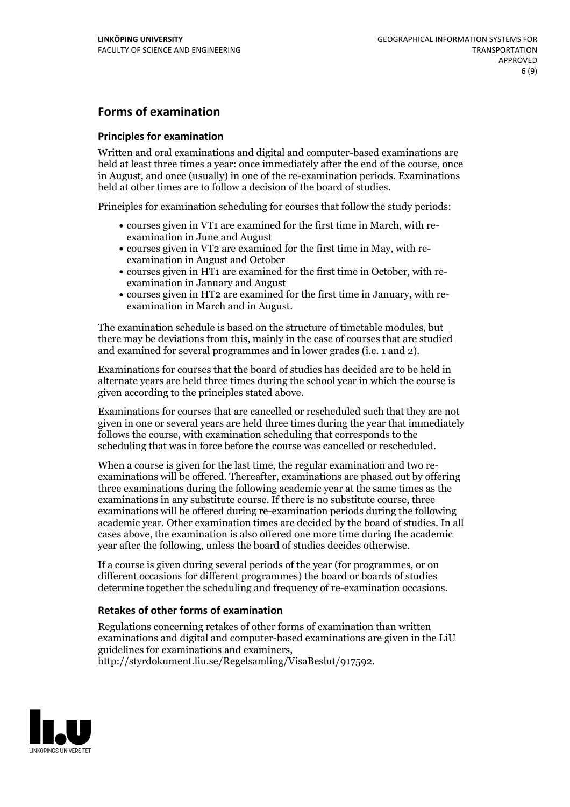### **Forms of examination**

#### **Principles for examination**

Written and oral examinations and digital and computer-based examinations are held at least three times a year: once immediately after the end of the course, once in August, and once (usually) in one of the re-examination periods. Examinations held at other times are to follow a decision of the board of studies.

Principles for examination scheduling for courses that follow the study periods:

- courses given in VT1 are examined for the first time in March, with re-examination in June and August
- courses given in VT2 are examined for the first time in May, with re-examination in August and October
- courses given in HT1 are examined for the first time in October, with re-examination in January and August
- courses given in HT2 are examined for the first time in January, with re-examination in March and in August.

The examination schedule is based on the structure of timetable modules, but there may be deviations from this, mainly in the case of courses that are studied and examined for several programmes and in lower grades (i.e. 1 and 2).

Examinations for courses that the board of studies has decided are to be held in alternate years are held three times during the school year in which the course is given according to the principles stated above.

Examinations for courses that are cancelled orrescheduled such that they are not given in one or several years are held three times during the year that immediately follows the course, with examination scheduling that corresponds to the scheduling that was in force before the course was cancelled or rescheduled.

When a course is given for the last time, the regular examination and two re-<br>examinations will be offered. Thereafter, examinations are phased out by offering three examinations during the following academic year at the same times as the examinations in any substitute course. If there is no substitute course, three examinations will be offered during re-examination periods during the following academic year. Other examination times are decided by the board of studies. In all cases above, the examination is also offered one more time during the academic year after the following, unless the board of studies decides otherwise.

If a course is given during several periods of the year (for programmes, or on different occasions for different programmes) the board or boards of studies determine together the scheduling and frequency of re-examination occasions.

#### **Retakes of other forms of examination**

Regulations concerning retakes of other forms of examination than written examinations and digital and computer-based examinations are given in the LiU guidelines for examinations and examiners, http://styrdokument.liu.se/Regelsamling/VisaBeslut/917592.

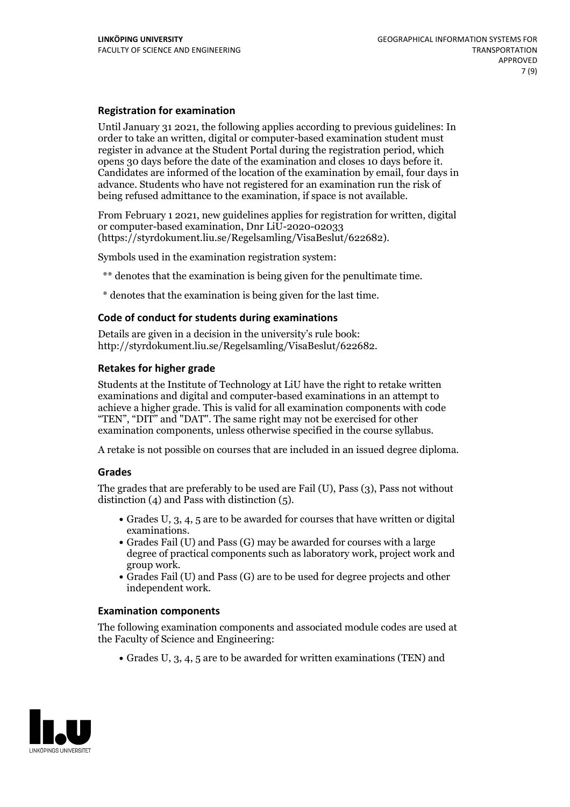#### **Registration for examination**

Until January 31 2021, the following applies according to previous guidelines: In order to take an written, digital or computer-based examination student must register in advance at the Student Portal during the registration period, which Candidates are informed of the location of the examination by email, four days in advance. Students who have not registered for an examination run the risk of being refused admittance to the examination, if space is not available.

From February 1 2021, new guidelines applies for registration for written, digital or computer-based examination, Dnr LiU-2020-02033 (https://styrdokument.liu.se/Regelsamling/VisaBeslut/622682).

Symbols used in the examination registration system:

\*\* denotes that the examination is being given for the penultimate time.

\* denotes that the examination is being given for the last time.

#### **Code of conduct for students during examinations**

Details are given in a decision in the university's rule book: http://styrdokument.liu.se/Regelsamling/VisaBeslut/622682.

#### **Retakes for higher grade**

Students at the Institute of Technology at LiU have the right to retake written examinations and digital and computer-based examinations in an attempt to achieve a higher grade. This is valid for all examination components with code "TEN", "DIT" and "DAT". The same right may not be exercised for other examination components, unless otherwise specified in the course syllabus.

A retake is not possible on courses that are included in an issued degree diploma.

#### **Grades**

The grades that are preferably to be used are Fail (U), Pass (3), Pass not without distinction  $(4)$  and Pass with distinction  $(5)$ .

- Grades U, 3, 4, 5 are to be awarded for courses that have written or digital examinations.<br>• Grades Fail (U) and Pass (G) may be awarded for courses with a large
- degree of practical components such as laboratory work, project work and
- $\bullet$  Grades Fail (U) and Pass (G) are to be used for degree projects and other independent work.

#### **Examination components**

The following examination components and associated module codes are used at the Faculty of Science and Engineering:

Grades U, 3, 4, 5 are to be awarded for written examinations (TEN) and

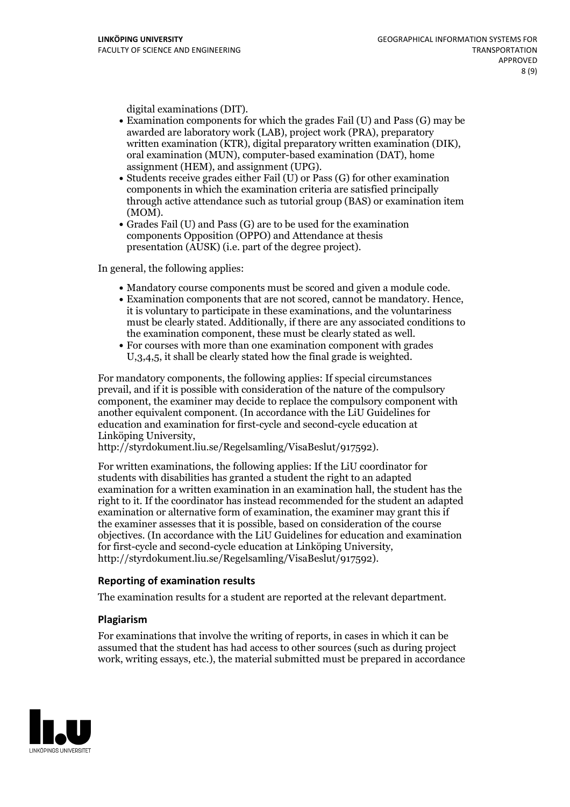- digital examinations (DIT).<br>• Examination components for which the grades Fail (U) and Pass (G) may be awarded are laboratory work (LAB), project work (PRA), preparatory written examination (KTR), digital preparatory written examination (DIK), oral examination (MUN), computer-based examination (DAT), home
- assignment (HEM), and assignment (UPG).<br>• Students receive grades either Fail (U) or Pass (G) for other examination components in which the examination criteria are satisfied principally through active attendance such as tutorial group (BAS) or examination item
- (MOM).<br>• Grades Fail (U) and Pass (G) are to be used for the examination components Opposition (OPPO) and Attendance at thesis presentation (AUSK) (i.e. part of the degree project).

In general, the following applies:

- 
- Mandatory course components must be scored and given <sup>a</sup> module code. Examination components that are not scored, cannot be mandatory. Hence, it is voluntary to participate in these examinations, and the voluntariness must be clearly stated. Additionally, if there are any associated conditions to the examination component, these must be clearly stated as well.<br>• For courses with more than one examination component with grades
- U,3,4,5, it shall be clearly stated how the final grade is weighted.

For mandatory components, the following applies: If special circumstances prevail, and if it is possible with consideration of the nature of the compulsory component, the examiner may decide to replace the compulsory component with another equivalent component. (In accordance with the LiU Guidelines for education and examination for first-cycle and second-cycle education at Linköping University, http://styrdokument.liu.se/Regelsamling/VisaBeslut/917592).

For written examinations, the following applies: If the LiU coordinator for students with disabilities has granted a student the right to an adapted examination for a written examination in an examination hall, the student has the right to it. If the coordinator has instead recommended for the student an adapted examination or alternative form of examination, the examiner may grant this if the examiner assesses that it is possible, based on consideration of the course objectives. (In accordance with the LiU Guidelines for education and examination for first-cycle and second-cycle education at Linköping University, http://styrdokument.liu.se/Regelsamling/VisaBeslut/917592).

#### **Reporting of examination results**

The examination results for a student are reported at the relevant department.

#### **Plagiarism**

For examinations that involve the writing of reports, in cases in which it can be assumed that the student has had access to other sources (such as during project work, writing essays, etc.), the material submitted must be prepared in accordance